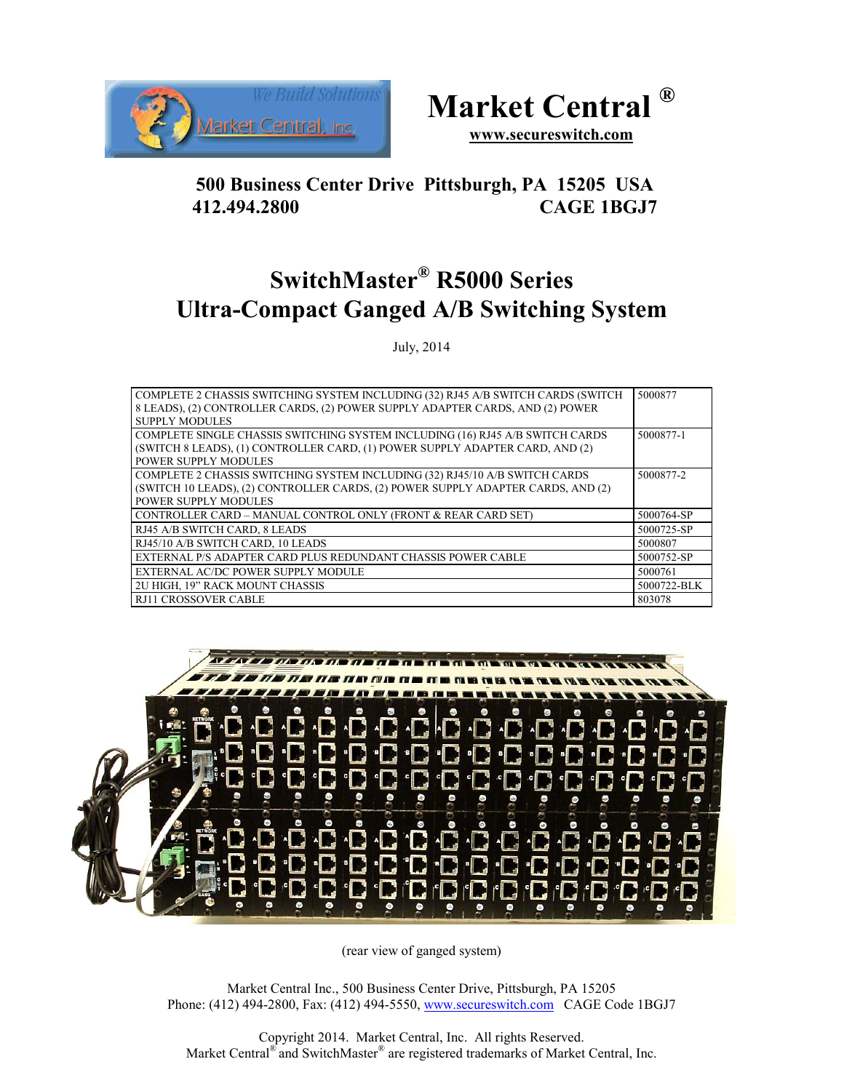



**www.secureswitch.com**

## **500 Business Center Drive Pittsburgh, PA 15205 USA 412.494.2800 CAGE 1BGJ7**

# **SwitchMaster® R5000 Series Ultra-Compact Ganged A/B Switching System**

July, 2014

| COMPLETE 2 CHASSIS SWITCHING SYSTEM INCLUDING (32) RJ45 A/B SWITCH CARDS (SWITCH<br>8 LEADS), (2) CONTROLLER CARDS, (2) POWER SUPPLY ADAPTER CARDS, AND (2) POWER |             |
|-------------------------------------------------------------------------------------------------------------------------------------------------------------------|-------------|
| <b>SUPPLY MODULES</b>                                                                                                                                             |             |
| COMPLETE SINGLE CHASSIS SWITCHING SYSTEM INCLUDING (16) RJ45 A/B SWITCH CARDS                                                                                     | 5000877-1   |
| (SWITCH 8 LEADS), (1) CONTROLLER CARD, (1) POWER SUPPLY ADAPTER CARD, AND (2)                                                                                     |             |
| <b>POWER SUPPLY MODULES</b>                                                                                                                                       |             |
| COMPLETE 2 CHASSIS SWITCHING SYSTEM INCLUDING (32) RJ45/10 A/B SWITCH CARDS                                                                                       | 5000877-2   |
| (SWITCH 10 LEADS), (2) CONTROLLER CARDS, (2) POWER SUPPLY ADAPTER CARDS, AND (2)                                                                                  |             |
| <b>POWER SUPPLY MODULES</b>                                                                                                                                       |             |
| CONTROLLER CARD - MANUAL CONTROL ONLY (FRONT & REAR CARD SET)                                                                                                     | 5000764-SP  |
| RJ45 A/B SWITCH CARD, 8 LEADS                                                                                                                                     | 5000725-SP  |
| RJ45/10 A/B SWITCH CARD, 10 LEADS                                                                                                                                 | 5000807     |
| EXTERNAL P/S ADAPTER CARD PLUS REDUNDANT CHASSIS POWER CABLE                                                                                                      | 5000752-SP  |
| EXTERNAL AC/DC POWER SUPPLY MODULE                                                                                                                                | 5000761     |
| 2U HIGH, 19" RACK MOUNT CHASSIS                                                                                                                                   | 5000722-BLK |
| RJ11 CROSSOVER CABLE                                                                                                                                              | 803078      |



(rear view of ganged system)

Market Central Inc., 500 Business Center Drive, Pittsburgh, PA 15205 Phone: (412) 494-2800, Fax: (412) 494-5550, www.secureswitch.com CAGE Code 1BGJ7

Copyright 2014. Market Central, Inc. All rights Reserved. Market Central® and SwitchMaster® are registered trademarks of Market Central, Inc.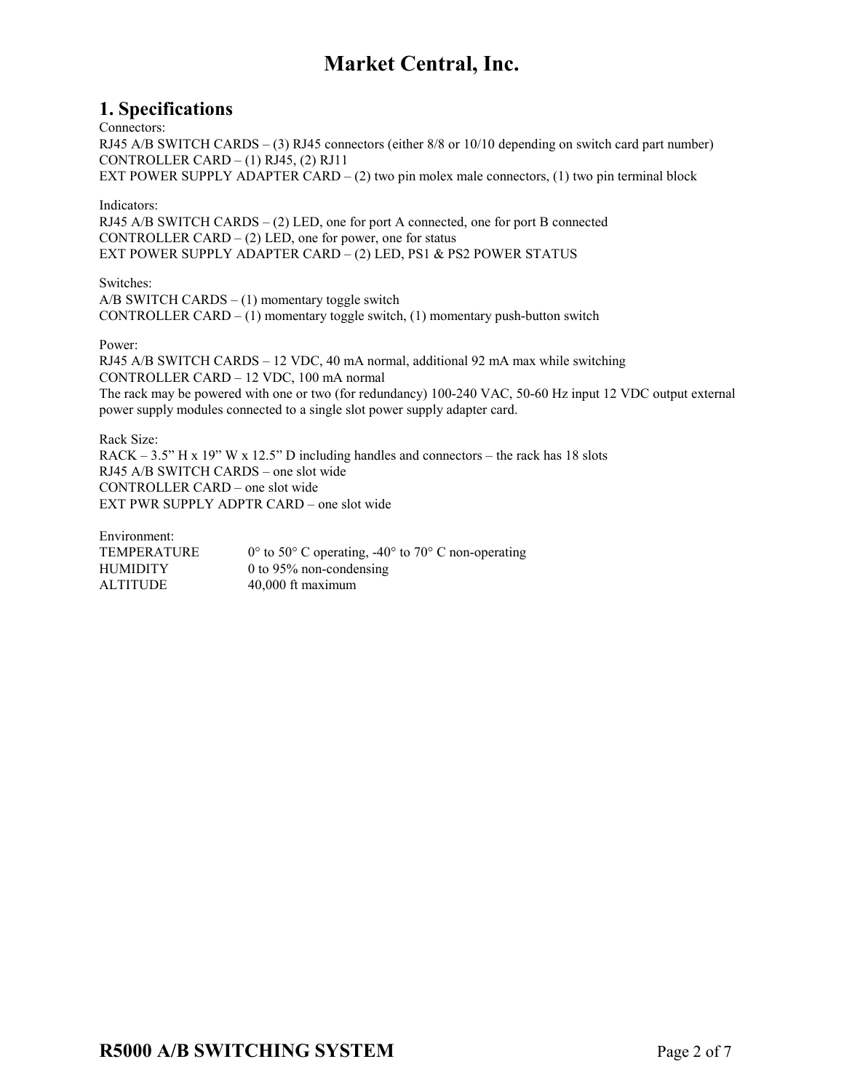#### **1. Specifications**

Connectors:

RJ45 A/B SWITCH CARDS – (3) RJ45 connectors (either 8/8 or 10/10 depending on switch card part number) CONTROLLER CARD  $-$  (1) RJ45, (2) RJ11 EXT POWER SUPPLY ADAPTER CARD  $- (2)$  two pin molex male connectors,  $(1)$  two pin terminal block

Indicators:

RJ45 A/B SWITCH CARDS – (2) LED, one for port A connected, one for port B connected CONTROLLER CARD – (2) LED, one for power, one for status EXT POWER SUPPLY ADAPTER CARD – (2) LED, PS1 & PS2 POWER STATUS

Switches:  $A/B$  SWITCH CARDS  $- (1)$  momentary toggle switch CONTROLLER CARD  $- (1)$  momentary toggle switch,  $(1)$  momentary push-button switch

Power:

RJ45 A/B SWITCH CARDS – 12 VDC, 40 mA normal, additional 92 mA max while switching CONTROLLER CARD – 12 VDC, 100 mA normal The rack may be powered with one or two (for redundancy) 100-240 VAC, 50-60 Hz input 12 VDC output external power supply modules connected to a single slot power supply adapter card.

Rack Size: RACK – 3.5" H x 19" W x 12.5" D including handles and connectors – the rack has 18 slots RJ45 A/B SWITCH CARDS – one slot wide CONTROLLER CARD – one slot wide EXT PWR SUPPLY ADPTR CARD – one slot wide

| $0^{\circ}$ to 50° C operating, -40° to 70° C non-operating |
|-------------------------------------------------------------|
| 0 to 95% non-condensing                                     |
| $40,000$ ft maximum                                         |
|                                                             |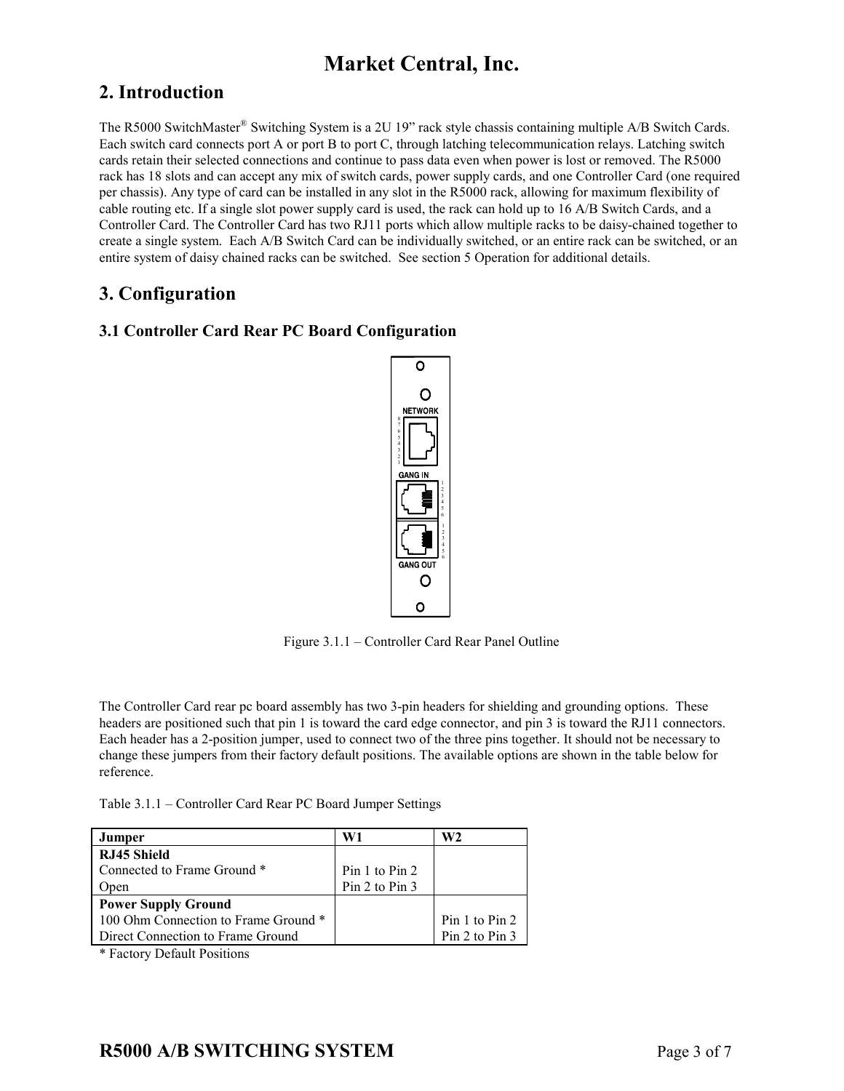### **2. Introduction**

The R5000 SwitchMaster® Switching System is a 2U 19" rack style chassis containing multiple A/B Switch Cards. Each switch card connects port A or port B to port C, through latching telecommunication relays. Latching switch cards retain their selected connections and continue to pass data even when power is lost or removed. The R5000 rack has 18 slots and can accept any mix of switch cards, power supply cards, and one Controller Card (one required per chassis). Any type of card can be installed in any slot in the R5000 rack, allowing for maximum flexibility of cable routing etc. If a single slot power supply card is used, the rack can hold up to 16 A/B Switch Cards, and a Controller Card. The Controller Card has two RJ11 ports which allow multiple racks to be daisy-chained together to create a single system. Each A/B Switch Card can be individually switched, or an entire rack can be switched, or an entire system of daisy chained racks can be switched. See section 5 Operation for additional details.

### **3. Configuration**

#### **3.1 Controller Card Rear PC Board Configuration**



Figure 3.1.1 – Controller Card Rear Panel Outline

The Controller Card rear pc board assembly has two 3-pin headers for shielding and grounding options. These headers are positioned such that pin 1 is toward the card edge connector, and pin 3 is toward the RJ11 connectors. Each header has a 2-position jumper, used to connect two of the three pins together. It should not be necessary to change these jumpers from their factory default positions. The available options are shown in the table below for reference.

Table 3.1.1 – Controller Card Rear PC Board Jumper Settings

| Jumper                               | W1             | W2             |
|--------------------------------------|----------------|----------------|
| RJ45 Shield                          |                |                |
| Connected to Frame Ground *          | Pin 1 to Pin 2 |                |
| Open                                 | Pin 2 to Pin 3 |                |
| <b>Power Supply Ground</b>           |                |                |
| 100 Ohm Connection to Frame Ground * |                | Pin 1 to Pin 2 |
| Direct Connection to Frame Ground    |                | Pin 2 to Pin 3 |

\* Factory Default Positions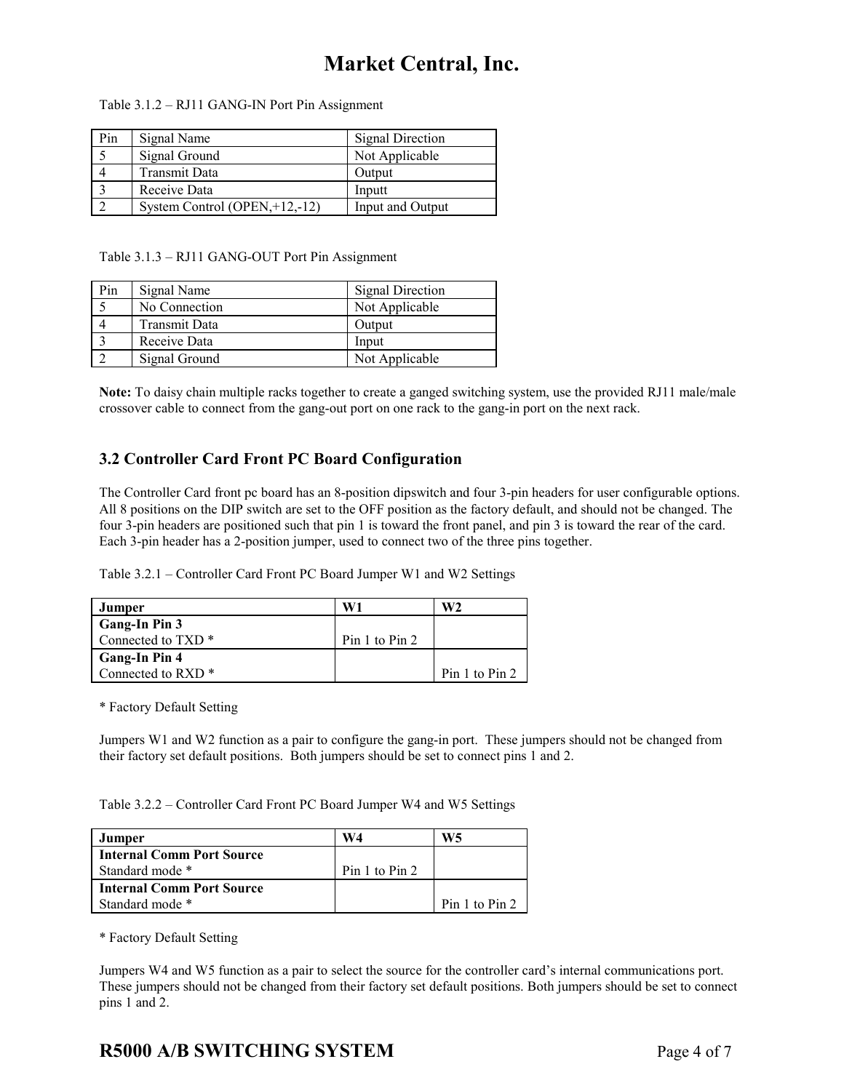| Table 3.1.2 – RJ11 GANG-IN Port Pin Assignment |  |  |
|------------------------------------------------|--|--|
|------------------------------------------------|--|--|

| Pin | Signal Name                       | <b>Signal Direction</b> |
|-----|-----------------------------------|-------------------------|
|     | Signal Ground                     | Not Applicable          |
|     | Transmit Data                     | Output                  |
|     | Receive Data                      | Inputt                  |
|     | System Control (OPEN, $+12,-12$ ) | Input and Output        |

Table 3.1.3 – RJ11 GANG-OUT Port Pin Assignment

| Pin | Signal Name          | <b>Signal Direction</b> |
|-----|----------------------|-------------------------|
|     | No Connection        | Not Applicable          |
|     | <b>Transmit Data</b> | Output                  |
|     | Receive Data         | Input                   |
|     | Signal Ground        | Not Applicable          |

**Note:** To daisy chain multiple racks together to create a ganged switching system, use the provided RJ11 male/male crossover cable to connect from the gang-out port on one rack to the gang-in port on the next rack.

#### **3.2 Controller Card Front PC Board Configuration**

The Controller Card front pc board has an 8-position dipswitch and four 3-pin headers for user configurable options. All 8 positions on the DIP switch are set to the OFF position as the factory default, and should not be changed. The four 3-pin headers are positioned such that pin 1 is toward the front panel, and pin 3 is toward the rear of the card. Each 3-pin header has a 2-position jumper, used to connect two of the three pins together.

Table 3.2.1 – Controller Card Front PC Board Jumper W1 and W2 Settings

| Jumper                        | W1             | W2             |
|-------------------------------|----------------|----------------|
| Gang-In Pin 3                 |                |                |
| Connected to TXD <sup>*</sup> | Pin 1 to Pin 2 |                |
| <b>Gang-In Pin 4</b>          |                |                |
| Connected to RXD <sup>*</sup> |                | Pin 1 to Pin 2 |

\* Factory Default Setting

Jumpers W1 and W2 function as a pair to configure the gang-in port. These jumpers should not be changed from their factory set default positions. Both jumpers should be set to connect pins 1 and 2.

Table 3.2.2 – Controller Card Front PC Board Jumper W4 and W5 Settings

| Jumper                    | W4             | W5             |
|---------------------------|----------------|----------------|
| Internal Comm Port Source |                |                |
| Standard mode *           | Pin 1 to Pin 2 |                |
| Internal Comm Port Source |                |                |
| Standard mode *           |                | Pin 1 to Pin 2 |

\* Factory Default Setting

Jumpers W4 and W5 function as a pair to select the source for the controller card's internal communications port. These jumpers should not be changed from their factory set default positions. Both jumpers should be set to connect pins 1 and 2.

### **R5000 A/B SWITCHING SYSTEM** Page 4 of 7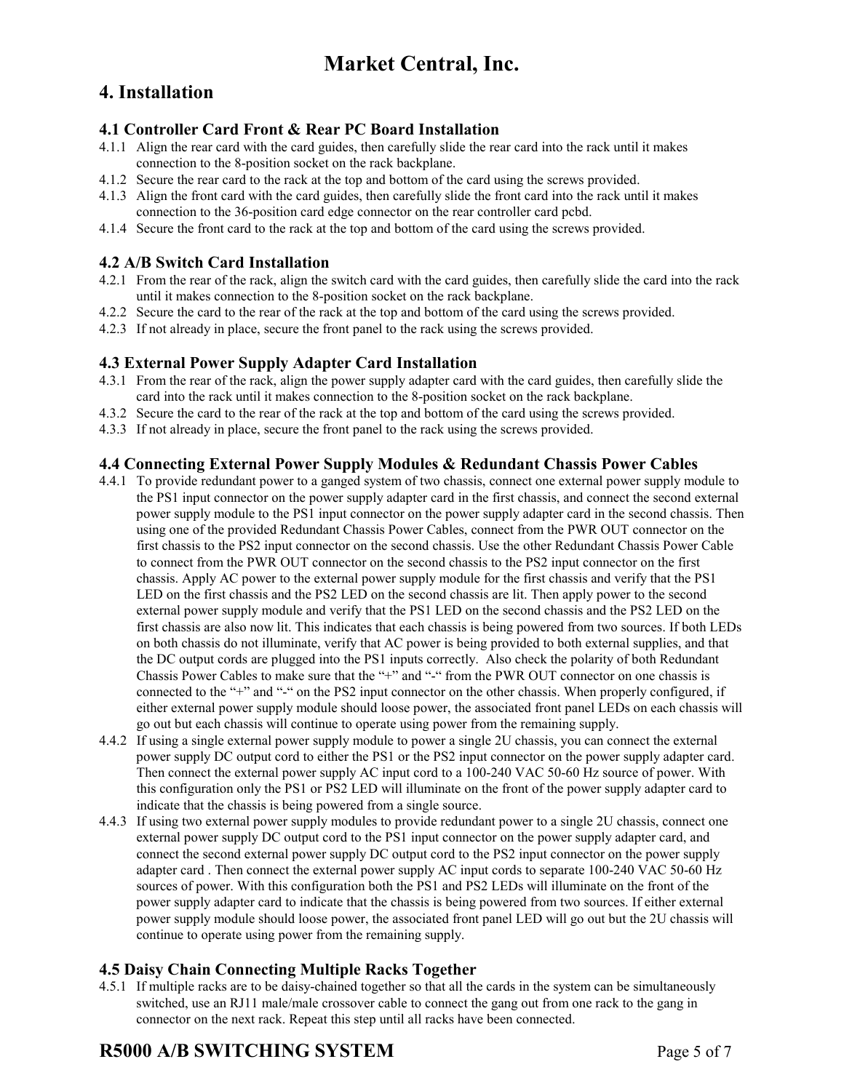### **4. Installation**

#### **4.1 Controller Card Front & Rear PC Board Installation**

- 4.1.1 Align the rear card with the card guides, then carefully slide the rear card into the rack until it makes connection to the 8-position socket on the rack backplane.
- 4.1.2 Secure the rear card to the rack at the top and bottom of the card using the screws provided.
- 4.1.3 Align the front card with the card guides, then carefully slide the front card into the rack until it makes connection to the 36-position card edge connector on the rear controller card pcbd.
- 4.1.4 Secure the front card to the rack at the top and bottom of the card using the screws provided.

#### **4.2 A/B Switch Card Installation**

- 4.2.1 From the rear of the rack, align the switch card with the card guides, then carefully slide the card into the rack until it makes connection to the 8-position socket on the rack backplane.
- 4.2.2 Secure the card to the rear of the rack at the top and bottom of the card using the screws provided.
- 4.2.3 If not already in place, secure the front panel to the rack using the screws provided.

#### **4.3 External Power Supply Adapter Card Installation**

- 4.3.1 From the rear of the rack, align the power supply adapter card with the card guides, then carefully slide the card into the rack until it makes connection to the 8-position socket on the rack backplane.
- 4.3.2 Secure the card to the rear of the rack at the top and bottom of the card using the screws provided.
- 4.3.3 If not already in place, secure the front panel to the rack using the screws provided.

#### **4.4 Connecting External Power Supply Modules & Redundant Chassis Power Cables**

- 4.4.1 To provide redundant power to a ganged system of two chassis, connect one external power supply module to the PS1 input connector on the power supply adapter card in the first chassis, and connect the second external power supply module to the PS1 input connector on the power supply adapter card in the second chassis. Then using one of the provided Redundant Chassis Power Cables, connect from the PWR OUT connector on the first chassis to the PS2 input connector on the second chassis. Use the other Redundant Chassis Power Cable to connect from the PWR OUT connector on the second chassis to the PS2 input connector on the first chassis. Apply AC power to the external power supply module for the first chassis and verify that the PS1 LED on the first chassis and the PS2 LED on the second chassis are lit. Then apply power to the second external power supply module and verify that the PS1 LED on the second chassis and the PS2 LED on the first chassis are also now lit. This indicates that each chassis is being powered from two sources. If both LEDs on both chassis do not illuminate, verify that AC power is being provided to both external supplies, and that the DC output cords are plugged into the PS1 inputs correctly. Also check the polarity of both Redundant Chassis Power Cables to make sure that the "+" and "-" from the PWR OUT connector on one chassis is connected to the "+" and "-" on the PS2 input connector on the other chassis. When properly configured, if either external power supply module should loose power, the associated front panel LEDs on each chassis will go out but each chassis will continue to operate using power from the remaining supply.
- 4.4.2 If using a single external power supply module to power a single 2U chassis, you can connect the external power supply DC output cord to either the PS1 or the PS2 input connector on the power supply adapter card. Then connect the external power supply AC input cord to a 100-240 VAC 50-60 Hz source of power. With this configuration only the PS1 or PS2 LED will illuminate on the front of the power supply adapter card to indicate that the chassis is being powered from a single source.
- 4.4.3 If using two external power supply modules to provide redundant power to a single 2U chassis, connect one external power supply DC output cord to the PS1 input connector on the power supply adapter card, and connect the second external power supply DC output cord to the PS2 input connector on the power supply adapter card . Then connect the external power supply AC input cords to separate 100-240 VAC 50-60 Hz sources of power. With this configuration both the PS1 and PS2 LEDs will illuminate on the front of the power supply adapter card to indicate that the chassis is being powered from two sources. If either external power supply module should loose power, the associated front panel LED will go out but the 2U chassis will continue to operate using power from the remaining supply.

#### **4.5 Daisy Chain Connecting Multiple Racks Together**

4.5.1 If multiple racks are to be daisy-chained together so that all the cards in the system can be simultaneously switched, use an RJ11 male/male crossover cable to connect the gang out from one rack to the gang in connector on the next rack. Repeat this step until all racks have been connected.

### **R5000 A/B SWITCHING SYSTEM** Page 5 of 7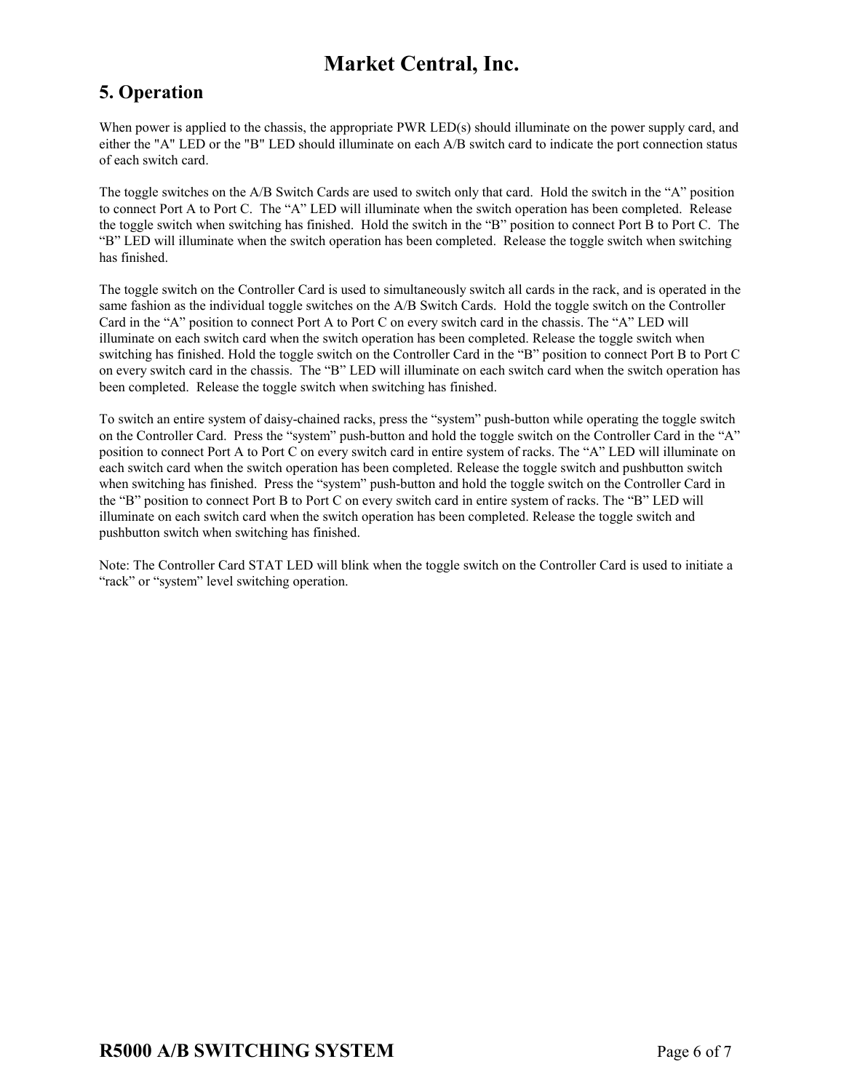### **5. Operation**

When power is applied to the chassis, the appropriate PWR LED(s) should illuminate on the power supply card, and either the "A" LED or the "B" LED should illuminate on each A/B switch card to indicate the port connection status of each switch card.

The toggle switches on the A/B Switch Cards are used to switch only that card. Hold the switch in the "A" position to connect Port A to Port C. The "A" LED will illuminate when the switch operation has been completed. Release the toggle switch when switching has finished. Hold the switch in the "B" position to connect Port B to Port C. The "B" LED will illuminate when the switch operation has been completed. Release the toggle switch when switching has finished.

The toggle switch on the Controller Card is used to simultaneously switch all cards in the rack, and is operated in the same fashion as the individual toggle switches on the A/B Switch Cards. Hold the toggle switch on the Controller Card in the "A" position to connect Port A to Port C on every switch card in the chassis. The "A" LED will illuminate on each switch card when the switch operation has been completed. Release the toggle switch when switching has finished. Hold the toggle switch on the Controller Card in the "B" position to connect Port B to Port C on every switch card in the chassis. The "B" LED will illuminate on each switch card when the switch operation has been completed. Release the toggle switch when switching has finished.

To switch an entire system of daisy-chained racks, press the "system" push-button while operating the toggle switch on the Controller Card. Press the "system" push-button and hold the toggle switch on the Controller Card in the "A" position to connect Port A to Port C on every switch card in entire system of racks. The "A" LED will illuminate on each switch card when the switch operation has been completed. Release the toggle switch and pushbutton switch when switching has finished. Press the "system" push-button and hold the toggle switch on the Controller Card in the "B" position to connect Port B to Port C on every switch card in entire system of racks. The "B" LED will illuminate on each switch card when the switch operation has been completed. Release the toggle switch and pushbutton switch when switching has finished.

Note: The Controller Card STAT LED will blink when the toggle switch on the Controller Card is used to initiate a "rack" or "system" level switching operation.